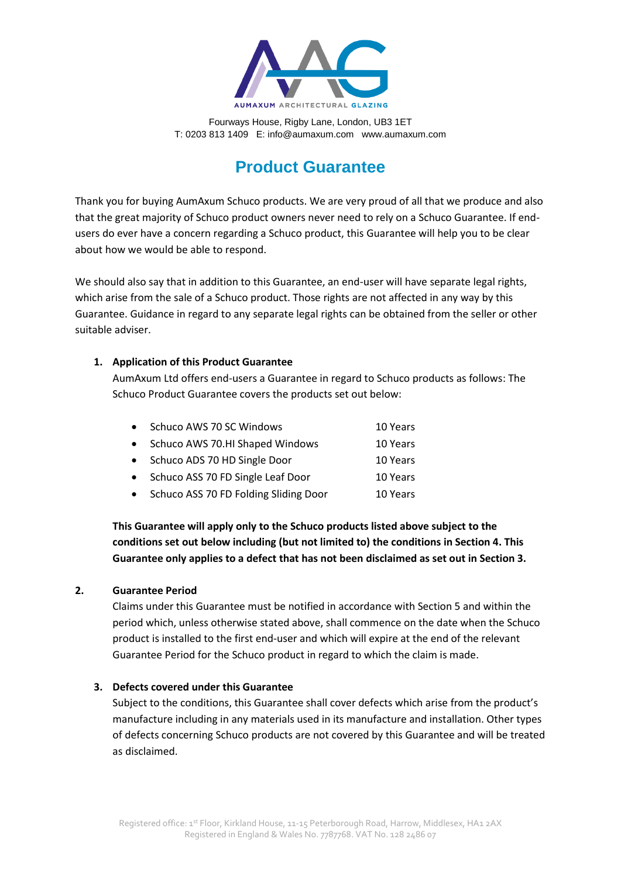

# **Product Guarantee**

Thank you for buying AumAxum Schuco products. We are very proud of all that we produce and also that the great majority of Schuco product owners never need to rely on a Schuco Guarantee. If endusers do ever have a concern regarding a Schuco product, this Guarantee will help you to be clear about how we would be able to respond.

We should also say that in addition to this Guarantee, an end-user will have separate legal rights, which arise from the sale of a Schuco product. Those rights are not affected in any way by this Guarantee. Guidance in regard to any separate legal rights can be obtained from the seller or other suitable adviser.

# **1. Application of this Product Guarantee**

AumAxum Ltd offers end-users a Guarantee in regard to Schuco products as follows: The Schuco Product Guarantee covers the products set out below:

| $\bullet$ | Schuco AWS 70 SC Windows                | 10 Years |
|-----------|-----------------------------------------|----------|
|           | • Schuco AWS 70.HI Shaped Windows       | 10 Years |
|           | • Schuco ADS 70 HD Single Door          | 10 Years |
|           | • Schuco ASS 70 FD Single Leaf Door     | 10 Years |
|           | • Schuco ASS 70 FD Folding Sliding Door | 10 Years |

**This Guarantee will apply only to the Schuco products listed above subject to the conditions set out below including (but not limited to) the conditions in Section 4. This Guarantee only applies to a defect that has not been disclaimed as set out in Section 3.**

# **2. Guarantee Period**

Claims under this Guarantee must be notified in accordance with Section 5 and within the period which, unless otherwise stated above, shall commence on the date when the Schuco product is installed to the first end-user and which will expire at the end of the relevant Guarantee Period for the Schuco product in regard to which the claim is made.

# **3. Defects covered under this Guarantee**

Subject to the conditions, this Guarantee shall cover defects which arise from the product's manufacture including in any materials used in its manufacture and installation. Other types of defects concerning Schuco products are not covered by this Guarantee and will be treated as disclaimed.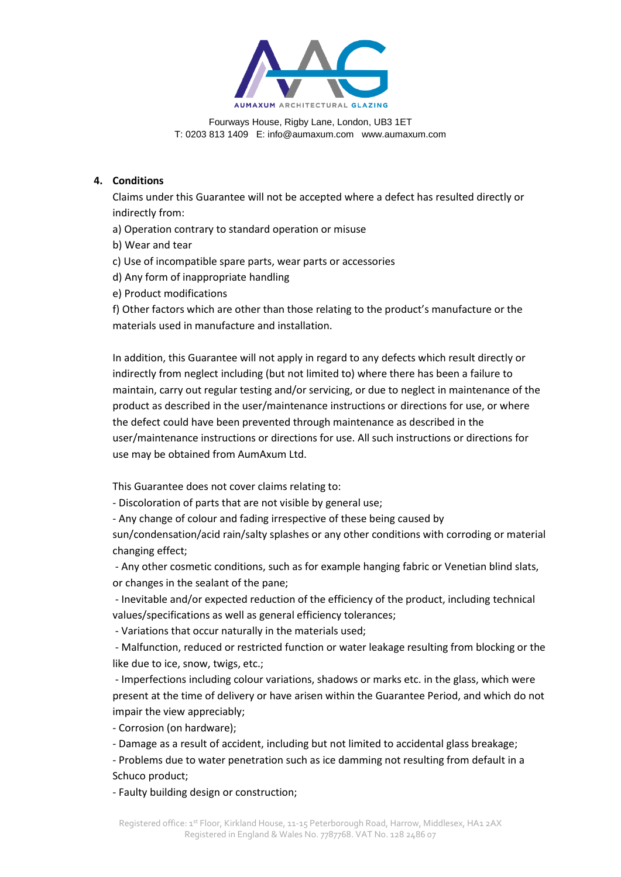

## **4. Conditions**

Claims under this Guarantee will not be accepted where a defect has resulted directly or indirectly from:

a) Operation contrary to standard operation or misuse

b) Wear and tear

- c) Use of incompatible spare parts, wear parts or accessories
- d) Any form of inappropriate handling
- e) Product modifications

f) Other factors which are other than those relating to the product's manufacture or the materials used in manufacture and installation.

In addition, this Guarantee will not apply in regard to any defects which result directly or indirectly from neglect including (but not limited to) where there has been a failure to maintain, carry out regular testing and/or servicing, or due to neglect in maintenance of the product as described in the user/maintenance instructions or directions for use, or where the defect could have been prevented through maintenance as described in the user/maintenance instructions or directions for use. All such instructions or directions for use may be obtained from AumAxum Ltd.

This Guarantee does not cover claims relating to:

- Discoloration of parts that are not visible by general use;

- Any change of colour and fading irrespective of these being caused by

sun/condensation/acid rain/salty splashes or any other conditions with corroding or material changing effect;

- Any other cosmetic conditions, such as for example hanging fabric or Venetian blind slats, or changes in the sealant of the pane;

- Inevitable and/or expected reduction of the efficiency of the product, including technical values/specifications as well as general efficiency tolerances;

- Variations that occur naturally in the materials used;

- Malfunction, reduced or restricted function or water leakage resulting from blocking or the like due to ice, snow, twigs, etc.;

- Imperfections including colour variations, shadows or marks etc. in the glass, which were present at the time of delivery or have arisen within the Guarantee Period, and which do not impair the view appreciably;

- Corrosion (on hardware);

- Damage as a result of accident, including but not limited to accidental glass breakage;

- Problems due to water penetration such as ice damming not resulting from default in a Schuco product;

- Faulty building design or construction;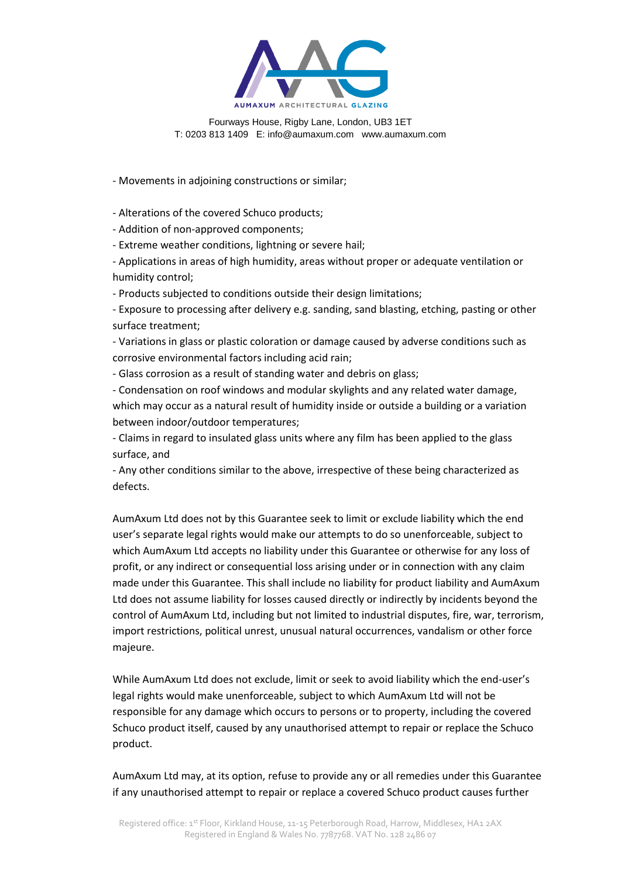

- Movements in adjoining constructions or similar;

- Alterations of the covered Schuco products;

- Addition of non-approved components;

- Extreme weather conditions, lightning or severe hail;

- Applications in areas of high humidity, areas without proper or adequate ventilation or humidity control;

- Products subjected to conditions outside their design limitations;

- Exposure to processing after delivery e.g. sanding, sand blasting, etching, pasting or other surface treatment;

- Variations in glass or plastic coloration or damage caused by adverse conditions such as corrosive environmental factors including acid rain;

- Glass corrosion as a result of standing water and debris on glass;

- Condensation on roof windows and modular skylights and any related water damage, which may occur as a natural result of humidity inside or outside a building or a variation between indoor/outdoor temperatures;

- Claims in regard to insulated glass units where any film has been applied to the glass surface, and

- Any other conditions similar to the above, irrespective of these being characterized as defects.

AumAxum Ltd does not by this Guarantee seek to limit or exclude liability which the end user's separate legal rights would make our attempts to do so unenforceable, subject to which AumAxum Ltd accepts no liability under this Guarantee or otherwise for any loss of profit, or any indirect or consequential loss arising under or in connection with any claim made under this Guarantee. This shall include no liability for product liability and AumAxum Ltd does not assume liability for losses caused directly or indirectly by incidents beyond the control of AumAxum Ltd, including but not limited to industrial disputes, fire, war, terrorism, import restrictions, political unrest, unusual natural occurrences, vandalism or other force majeure.

While AumAxum Ltd does not exclude, limit or seek to avoid liability which the end-user's legal rights would make unenforceable, subject to which AumAxum Ltd will not be responsible for any damage which occurs to persons or to property, including the covered Schuco product itself, caused by any unauthorised attempt to repair or replace the Schuco product.

AumAxum Ltd may, at its option, refuse to provide any or all remedies under this Guarantee if any unauthorised attempt to repair or replace a covered Schuco product causes further